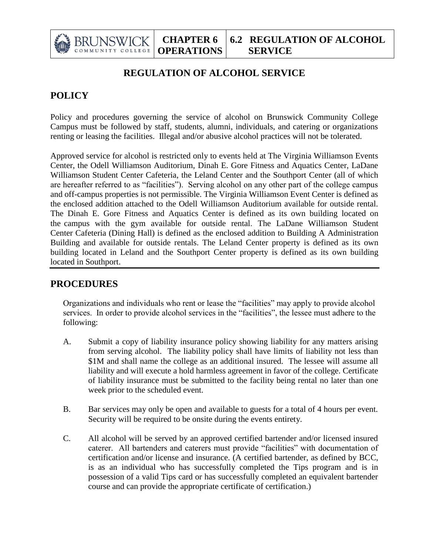

## **REGULATION OF ALCOHOL SERVICE**

## **POLICY**

Policy and procedures governing the service of alcohol on Brunswick Community College Campus must be followed by staff, students, alumni, individuals, and catering or organizations renting or leasing the facilities. Illegal and/or abusive alcohol practices will not be tolerated.

Approved service for alcohol is restricted only to events held at The Virginia Williamson Events Center, the Odell Williamson Auditorium, Dinah E. Gore Fitness and Aquatics Center, LaDane Williamson Student Center Cafeteria, the Leland Center and the Southport Center (all of which are hereafter referred to as "facilities"). Serving alcohol on any other part of the college campus and off-campus properties is not permissible. The Virginia Williamson Event Center is defined as the enclosed addition attached to the Odell Williamson Auditorium available for outside rental. The Dinah E. Gore Fitness and Aquatics Center is defined as its own building located on the campus with the gym available for outside rental. The LaDane Williamson Student Center Cafeteria (Dining Hall) is defined as the enclosed addition to Building A Administration Building and available for outside rentals. The Leland Center property is defined as its own building located in Leland and the Southport Center property is defined as its own building located in Southport.

## **PROCEDURES**

Organizations and individuals who rent or lease the "facilities" may apply to provide alcohol services. In order to provide alcohol services in the "facilities", the lessee must adhere to the following:

- A. Submit a copy of liability insurance policy showing liability for any matters arising from serving alcohol. The liability policy shall have limits of liability not less than \$1M and shall name the college as an additional insured. The lessee will assume all liability and will execute a hold harmless agreement in favor of the college. Certificate of liability insurance must be submitted to the facility being rental no later than one week prior to the scheduled event.
- B. Bar services may only be open and available to guests for a total of 4 hours per event. Security will be required to be onsite during the events entirety.
- C. All alcohol will be served by an approved certified bartender and/or licensed insured caterer. All bartenders and caterers must provide "facilities" with documentation of certification and/or license and insurance. (A certified bartender, as defined by BCC, is as an individual who has successfully completed the Tips program and is in possession of a valid Tips card or has successfully completed an equivalent bartender course and can provide the appropriate certificate of certification.)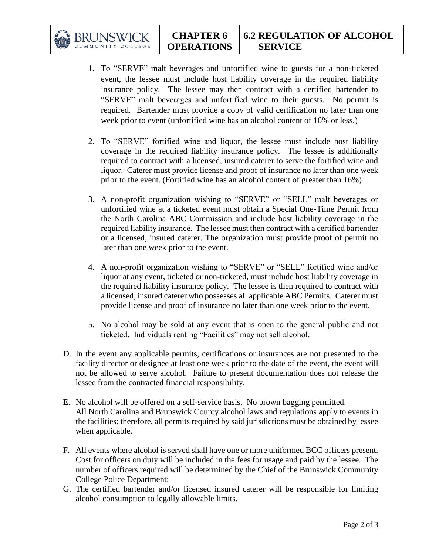BRUNSWIG

- 1. To "SERVE" malt beverages and unfortified wine to guests for a non-ticketed event, the lessee must include host liability coverage in the required liability insurance policy. The lessee may then contract with a certified bartender to "SERVE" malt beverages and unfortified wine to their guests. No permit is required. Bartender must provide a copy of valid certification no later than one week prior to event (unfortified wine has an alcohol content of 16% or less.)
- 2. To "SERVE" fortified wine and liquor, the lessee must include host liability coverage in the required liability insurance policy. The lessee is additionally required to contract with a licensed, insured caterer to serve the fortified wine and liquor. Caterer must provide license and proof of insurance no later than one week prior to the event. (Fortified wine has an alcohol content of greater than 16%)
- 3. A non-profit organization wishing to "SERVE" or "SELL" malt beverages or unfortified wine at a ticketed event must obtain a Special One-Time Permit from the North Carolina ABC Commission and include host liability coverage in the required liability insurance. The lessee must then contract with a certified bartender or a licensed, insured caterer. The organization must provide proof of permit no later than one week prior to the event.
- 4. A non-profit organization wishing to "SERVE" or "SELL" fortified wine and/or liquor at any event, ticketed or non-ticketed, must include host liability coverage in the required liability insurance policy. The lessee is then required to contract with a licensed, insured caterer who possesses all applicable ABC Permits. Caterer must provide license and proof of insurance no later than one week prior to the event.
- 5. No alcohol may be sold at any event that is open to the general public and not ticketed. Individuals renting "Facilities" may not sell alcohol.
- D. In the event any applicable permits, certifications or insurances are not presented to the facility director or designee at least one week prior to the date of the event, the event will not be allowed to serve alcohol. Failure to present documentation does not release the lessee from the contracted financial responsibility.
- E. No alcohol will be offered on a self-service basis. No brown bagging permitted. All North Carolina and Brunswick County alcohol laws and regulations apply to events in the facilities; therefore, all permits required by said jurisdictions must be obtained by lessee when applicable.
- F. All events where alcohol is served shall have one or more uniformed BCC officers present. Cost for officers on duty will be included in the fees for usage and paid by the lessee. The number of officers required will be determined by the Chief of the Brunswick Community College Police Department:
- G. The certified bartender and/or licensed insured caterer will be responsible for limiting alcohol consumption to legally allowable limits.